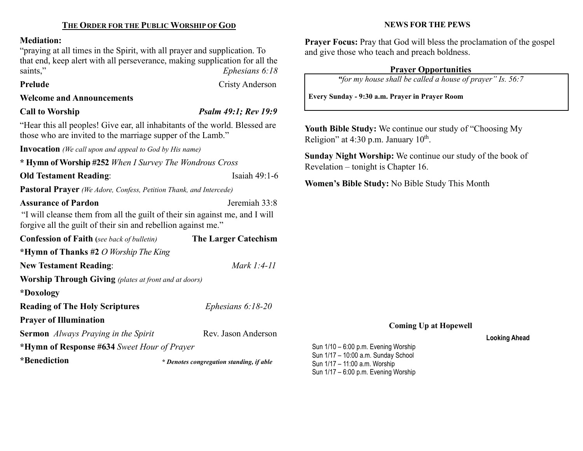# Mediation:

"praying at all times in the Spirit, with all prayer and supplication. To that end, keep alert with all perseverance, making supplication for all the Ephesians 6:18 saints,"<br>Prelude

Welcome and Announcements

Call to Worship Psalm 49:1; Rev 19:9

Cristy Anderson

"Hear this all peoples! Give ear, all inhabitants of the world. Blessed are those who are invited to the marriage supper of the Lamb."

Invocation (We call upon and appeal to God by His name)

\* Hymn of Worship #252 When I Survey The Wondrous Cross

## **Old Testament Reading:** Isaiah 49:1-6

Pastoral Prayer (We Adore, Confess, Petition Thank, and Intercede)

Assurance of Pardon **Internal Assurance of Pardon** Jeremiah 33:8

"I will cleanse them from all the guilt of their sin against me, and I will forgive all the guilt of their sin and rebellion against me."

| <b>Confession of Faith</b> (see back of bulletin)            | <b>The Larger Catechism</b>              |  |  |
|--------------------------------------------------------------|------------------------------------------|--|--|
| *Hymn of Thanks #2 O Worship The King                        |                                          |  |  |
| <b>New Testament Reading:</b>                                | Mark $1:4-11$                            |  |  |
| <b>Worship Through Giving</b> (plates at front and at doors) |                                          |  |  |
| *Doxology                                                    |                                          |  |  |
| <b>Reading of The Holy Scriptures</b>                        | Ephesians $6:18-20$                      |  |  |
| <b>Prayer of Illumination</b>                                |                                          |  |  |
| <b>Sermon</b> Always Praying in the Spirit                   | Rev. Jason Anderson                      |  |  |
| *Hymn of Response #634 Sweet Hour of Prayer                  |                                          |  |  |
| *Benediction                                                 | * Denotes congregation standing, if able |  |  |

NEWS FOR THE PEWS

Prayer Focus: Pray that God will bless the proclamation of the gospel and give those who teach and preach boldness.

# Prayer Opportunities

"for my house shall be called a house of prayer" Is. 56:7

Every Sunday - 9:30 a.m. Prayer in Prayer Room

Youth Bible Study: We continue our study of "Choosing My Religion" at  $4:30$  p.m. January  $10^{th}$ .

Sunday Night Worship: We continue our study of the book of Revelation – tonight is Chapter 16.

Women's Bible Study: No Bible Study This Month

# Coming Up at Hopewell

### Looking Ahead

Sun 1/10 – 6:00 p.m. Evening Worship Sun 1/17 – 10:00 a.m. Sunday School Sun 1/17 – 11:00 a.m. Worship Sun 1/17 – 6:00 p.m. Evening Worship